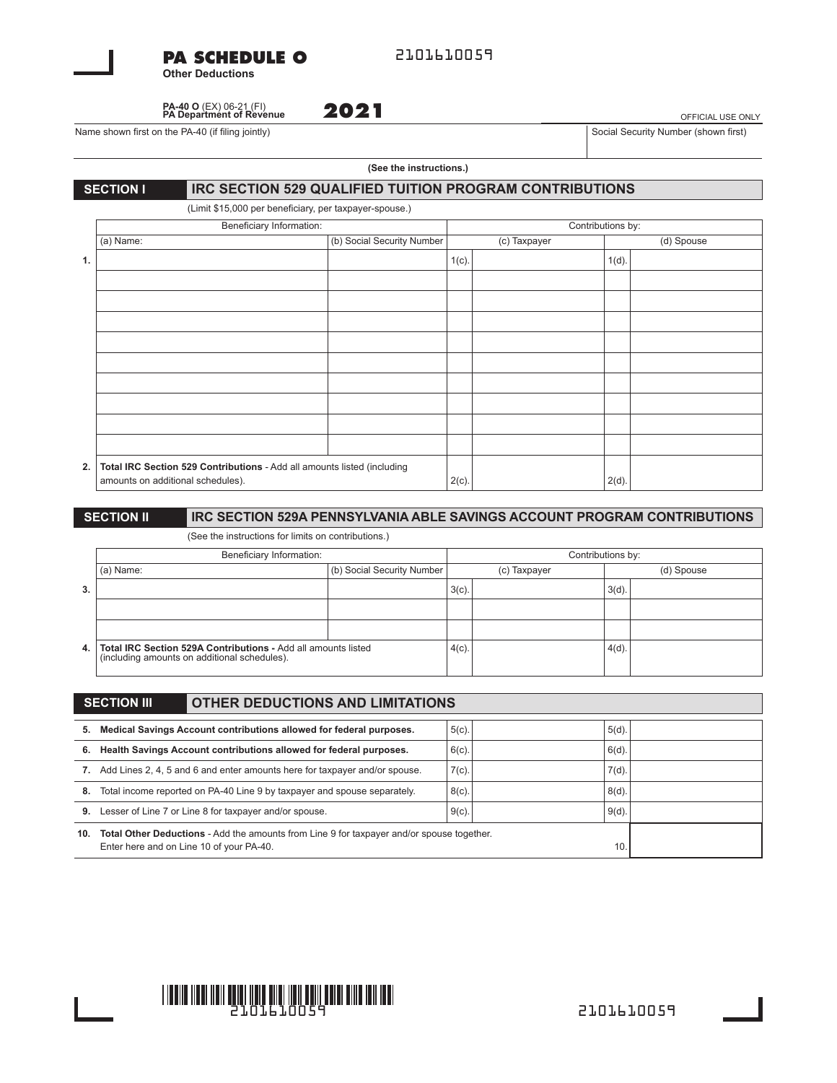| <b>PA SCHEDULE O</b>    |  |
|-------------------------|--|
| <b>Other Deductions</b> |  |

2101610059

**PA-40 O** (EX) 06-21 (FI) **PA Department of Revenue**

Name shown first on the PA-40 (if filing jointly) Social Security Number (shown first) Social Security Number (shown first)

OFFICIAL USE ONLY

#### **(See the instructions.)**

#### **SECTION INCOCETION 529 QUALIFIED TUITION PROGRAM CONTRIBUTIONS**

**2021**

(Limit \$15,000 per beneficiary, per taxpayer-spouse.)

|    | Beneficiary Information:                                                                                     |                            | Contributions by: |              |          |            |
|----|--------------------------------------------------------------------------------------------------------------|----------------------------|-------------------|--------------|----------|------------|
|    | (a) Name:                                                                                                    | (b) Social Security Number |                   | (c) Taxpayer |          | (d) Spouse |
| 1. |                                                                                                              |                            | $1(c)$ .          |              | $1(d)$ . |            |
|    |                                                                                                              |                            |                   |              |          |            |
|    |                                                                                                              |                            |                   |              |          |            |
|    |                                                                                                              |                            |                   |              |          |            |
|    |                                                                                                              |                            |                   |              |          |            |
|    |                                                                                                              |                            |                   |              |          |            |
|    |                                                                                                              |                            |                   |              |          |            |
|    |                                                                                                              |                            |                   |              |          |            |
|    |                                                                                                              |                            |                   |              |          |            |
|    |                                                                                                              |                            |                   |              |          |            |
| 2. | Total IRC Section 529 Contributions - Add all amounts listed (including<br>amounts on additional schedules). |                            | $2(c)$ .          |              | $2(d)$ . |            |

#### **SECTION II** IRC SECTION 529A PENNSYLVANIA ABLE SAVINGS ACCOUNT PROGRAM CONTRIBUTIONS

(See the instructions for limits on contributions.)

|      | Beneficiary Information:                                                                                      |                            | Contributions by: |  |            |  |
|------|---------------------------------------------------------------------------------------------------------------|----------------------------|-------------------|--|------------|--|
|      | (a) Name:                                                                                                     | (b) Social Security Number | (c) Taxpayer      |  | (d) Spouse |  |
| 3.   |                                                                                                               |                            | 3(c)              |  | $3(d)$ .   |  |
|      |                                                                                                               |                            |                   |  |            |  |
|      |                                                                                                               |                            |                   |  |            |  |
| 4. I | Total IRC Section 529A Contributions - Add all amounts listed<br>(including amounts on additional schedules). |                            | $4(c)$ .          |  | 4(d)       |  |

|                                                                               | <b>OTHER DEDUCTIONS AND LIMITATIONS</b><br><b>SECTION III</b>                                                                         |          |  |          |  |
|-------------------------------------------------------------------------------|---------------------------------------------------------------------------------------------------------------------------------------|----------|--|----------|--|
| 5.                                                                            | Medical Savings Account contributions allowed for federal purposes.                                                                   | $5(c)$ . |  | $5(d)$ . |  |
| 6.                                                                            | Health Savings Account contributions allowed for federal purposes.                                                                    | $6(c)$ . |  | 6(d)     |  |
| 7. Add Lines 2, 4, 5 and 6 and enter amounts here for taxpayer and/or spouse. |                                                                                                                                       | $7(c)$ . |  | 7(d)     |  |
| 8.                                                                            | Total income reported on PA-40 Line 9 by taxpayer and spouse separately.                                                              |          |  | 8(d)     |  |
| 9.                                                                            | Lesser of Line 7 or Line 8 for taxpayer and/or spouse.                                                                                |          |  | 9(d)     |  |
| 10.                                                                           | Total Other Deductions - Add the amounts from Line 9 for taxpayer and/or spouse together.<br>Enter here and on Line 10 of your PA-40. |          |  | 10       |  |

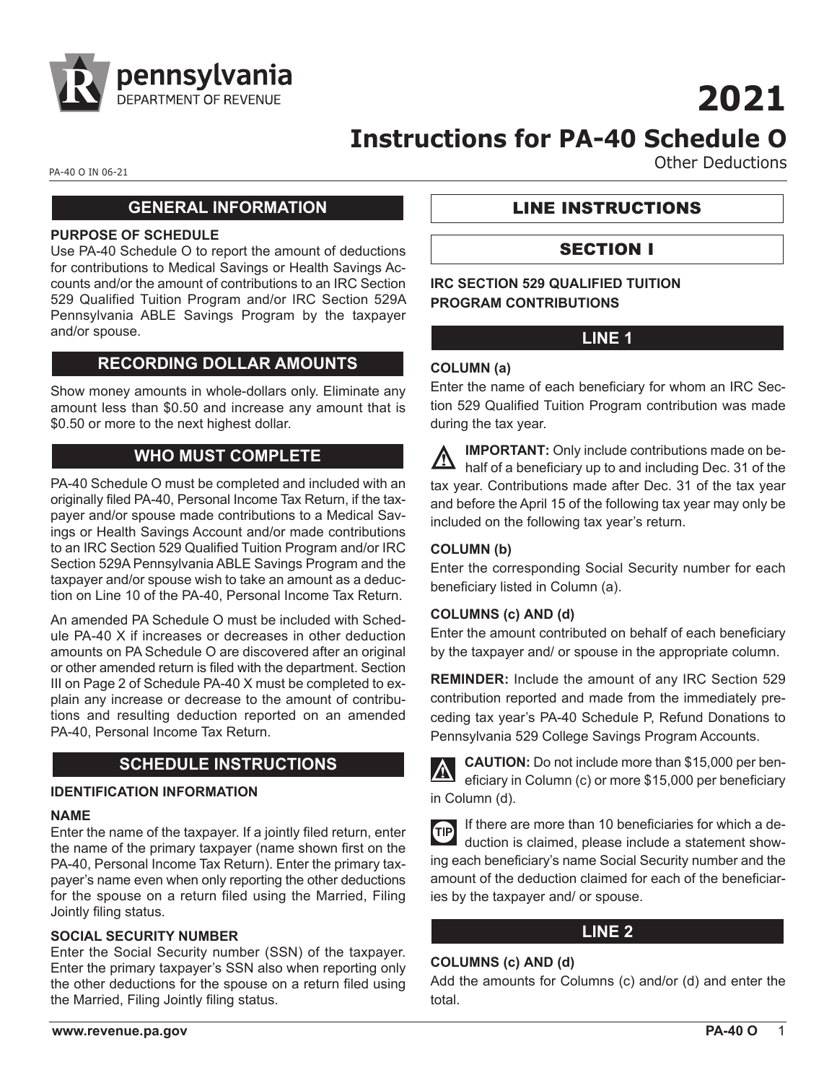

# **2021**

# **Instructions for PA-40 Schedule O**

PA-40 O IN 06-21 **Other Deductions** 

# **GENERAL INFORMATION**

#### **PURPOSE OF SCHEDULE**

Use PA-40 Schedule O to report the amount of deductions for contributions to Medical Savings or Health Savings Accounts and/or the amount of contributions to an IRC Section 529 Qualified Tuition Program and/or IRC Section 529A Pennsylvania ABLE Savings Program by the taxpayer and/or spouse.

# **RECORDING DOLLAR AMOUNTS**

Show money amounts in whole-dollars only. Eliminate any amount less than \$0.50 and increase any amount that is \$0.50 or more to the next highest dollar.

# **WHO MUST COMPLETE**

PA-40 Schedule O must be completed and included with an originally filed PA-40, Personal Income Tax Return, if the taxpayer and/or spouse made contributions to a Medical Savings or Health Savings Account and/or made contributions to an IRC Section 529 Qualified Tuition Program and/or IRC Section 529A Pennsylvania ABLE Savings Program and the taxpayer and/or spouse wish to take an amount as a deduction on Line 10 of the PA-40, Personal Income Tax Return.

An amended PA Schedule O must be included with Schedule PA-40 X if increases or decreases in other deduction amounts on PA Schedule O are discovered after an original or other amended return is filed with the department. Section III on Page 2 of Schedule PA-40 X must be completed to explain any increase or decrease to the amount of contributions and resulting deduction reported on an amended PA-40, Personal Income Tax Return.

# **SCHEDULE INSTRUCTIONS**

#### **IDENTIFICATION INFORMATION**

#### **NAME**

Enter the name of the taxpayer. If a jointly filed return, enter the name of the primary taxpayer (name shown first on the PA-40, Personal Income Tax Return). Enter the primary taxpayer's name even when only reporting the other deductions for the spouse on a return filed using the Married, Filing Jointly filing status.

#### **SOCIAL SECURITY NUMBER**

Enter the Social Security number (SSN) of the taxpayer. Enter the primary taxpayer's SSN also when reporting only the other deductions for the spouse on a return filed using the Married, Filing Jointly filing status.

LINE INSTRUCTIONS

# SECTION I

**IRC SECTION 529 QUALIFIED TUITION PROGRAM CONTRIBUTIONS**

# **LINE 1**

# **COLUMN (a)**

Enter the name of each beneficiary for whom an IRC Section 529 Qualified Tuition Program contribution was made during the tax year.

**IMPORTANT:** Only include contributions made on behalf of a beneficiary up to and including Dec. 31 of the tax year. Contributions made after Dec. 31 of the tax year and before the April 15 of the following tax year may only be included on the following tax year's return.

# **COLUMN (b)**

Enter the corresponding Social Security number for each beneficiary listed in Column (a).

#### **COLUMNS (c) AND (d)**

Enter the amount contributed on behalf of each beneficiary by the taxpayer and/ or spouse in the appropriate column.

**REMINDER:** Include the amount of any IRC Section 529 contribution reported and made from the immediately preceding tax year's PA-40 Schedule P, Refund Donations to Pennsylvania 529 College Savings Program Accounts.

**CAUTION:** Do not include more than \$15,000 per beneficiary in Column (c) or more \$15,000 per beneficiary in Column (d).

| TIP If there are more than 10 beneficiaries for which a de-<br>duction is claimed, please include a statement show- |
|---------------------------------------------------------------------------------------------------------------------|
|                                                                                                                     |
| ing each beneficiary's name Social Security number and the                                                          |
| amount of the deduction claimed for each of the beneficiar-                                                         |
| ies by the taxpayer and/ or spouse.                                                                                 |

# **LINE 2**

#### **COLUMNS (c) AND (d)**

Add the amounts for Columns (c) and/or (d) and enter the total.